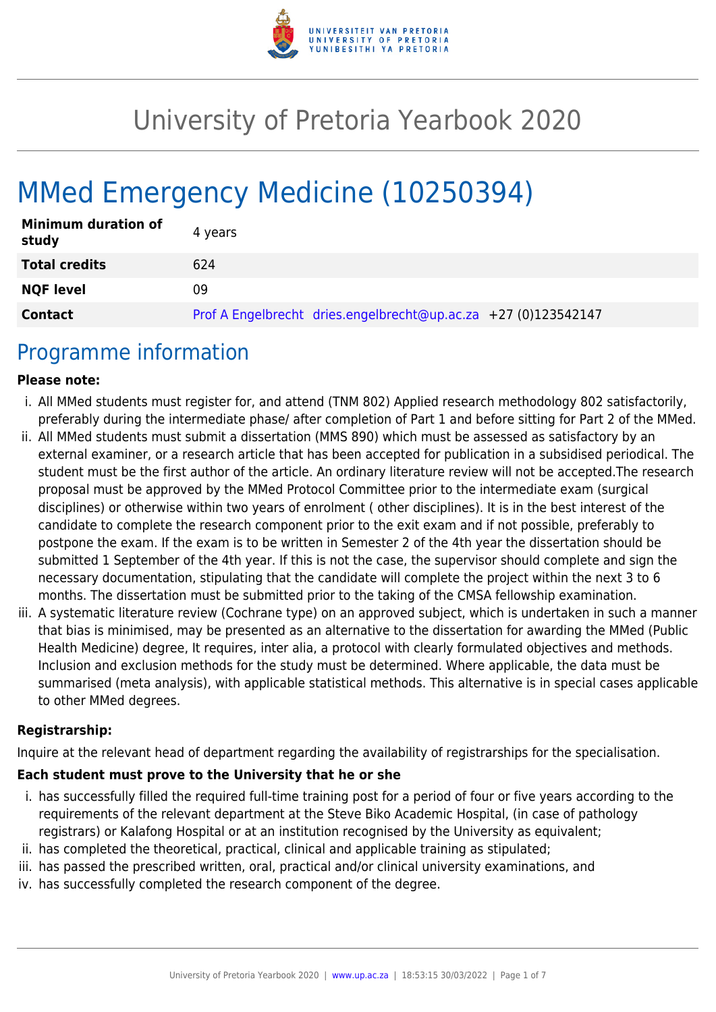

# University of Pretoria Yearbook 2020

# MMed Emergency Medicine (10250394)

| <b>Minimum duration of</b><br>study | 4 years                                                        |
|-------------------------------------|----------------------------------------------------------------|
| <b>Total credits</b>                | 624                                                            |
| <b>NQF level</b>                    | 09                                                             |
| <b>Contact</b>                      | Prof A Engelbrecht dries.engelbrecht@up.ac.za +27 (0)123542147 |

### Programme information

#### **Please note:**

- i. All MMed students must register for, and attend (TNM 802) Applied research methodology 802 satisfactorily, preferably during the intermediate phase/ after completion of Part 1 and before sitting for Part 2 of the MMed.
- ii. All MMed students must submit a dissertation (MMS 890) which must be assessed as satisfactory by an external examiner, or a research article that has been accepted for publication in a subsidised periodical. The student must be the first author of the article. An ordinary literature review will not be accepted.The research proposal must be approved by the MMed Protocol Committee prior to the intermediate exam (surgical disciplines) or otherwise within two years of enrolment ( other disciplines). It is in the best interest of the candidate to complete the research component prior to the exit exam and if not possible, preferably to postpone the exam. If the exam is to be written in Semester 2 of the 4th year the dissertation should be submitted 1 September of the 4th year. If this is not the case, the supervisor should complete and sign the necessary documentation, stipulating that the candidate will complete the project within the next 3 to 6 months. The dissertation must be submitted prior to the taking of the CMSA fellowship examination.
- iii. A systematic literature review (Cochrane type) on an approved subject, which is undertaken in such a manner that bias is minimised, may be presented as an alternative to the dissertation for awarding the MMed (Public Health Medicine) degree, It requires, inter alia, a protocol with clearly formulated objectives and methods. Inclusion and exclusion methods for the study must be determined. Where applicable, the data must be summarised (meta analysis), with applicable statistical methods. This alternative is in special cases applicable to other MMed degrees.

#### **Registrarship:**

Inquire at the relevant head of department regarding the availability of registrarships for the specialisation.

#### **Each student must prove to the University that he or she**

- i. has successfully filled the required full-time training post for a period of four or five years according to the requirements of the relevant department at the Steve Biko Academic Hospital, (in case of pathology registrars) or Kalafong Hospital or at an institution recognised by the University as equivalent;
- ii. has completed the theoretical, practical, clinical and applicable training as stipulated;
- iii. has passed the prescribed written, oral, practical and/or clinical university examinations, and
- iv. has successfully completed the research component of the degree.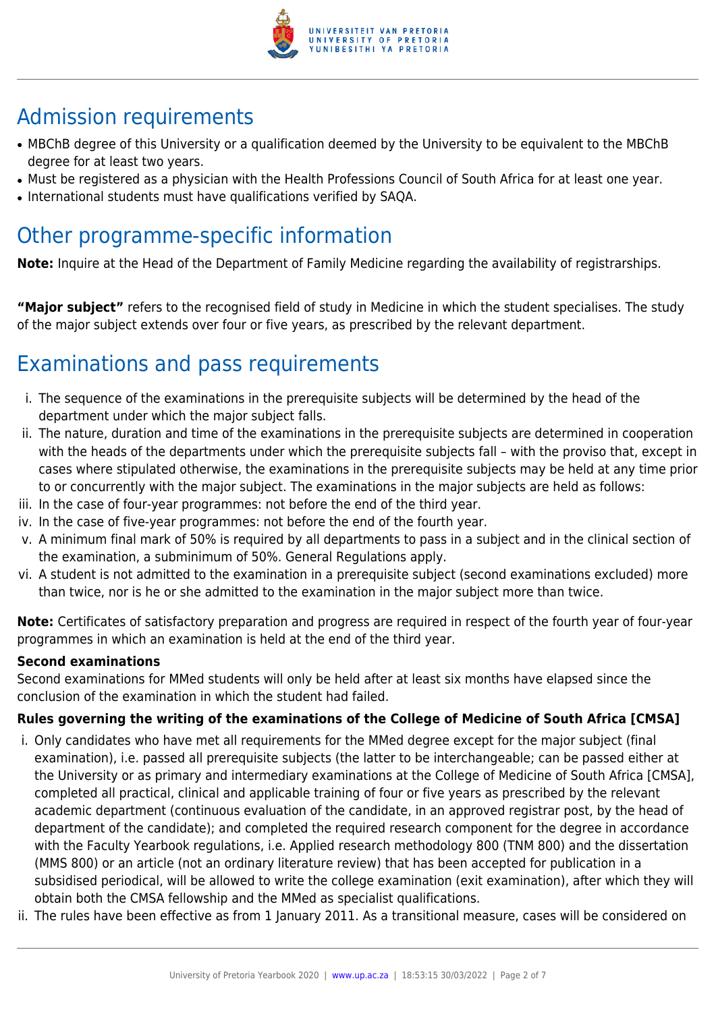

# Admission requirements

- MBChB degree of this University or a qualification deemed by the University to be equivalent to the MBChB degree for at least two years.
- Must be registered as a physician with the Health Professions Council of South Africa for at least one year.
- International students must have qualifications verified by SAQA.

# Other programme-specific information

**Note:** Inquire at the Head of the Department of Family Medicine regarding the availability of registrarships.

**"Major subject"** refers to the recognised field of study in Medicine in which the student specialises. The study of the major subject extends over four or five years, as prescribed by the relevant department.

# Examinations and pass requirements

- i. The sequence of the examinations in the prerequisite subjects will be determined by the head of the department under which the major subject falls.
- ii. The nature, duration and time of the examinations in the prerequisite subjects are determined in cooperation with the heads of the departments under which the prerequisite subjects fall – with the proviso that, except in cases where stipulated otherwise, the examinations in the prerequisite subjects may be held at any time prior to or concurrently with the major subject. The examinations in the major subjects are held as follows:
- iii. In the case of four-year programmes: not before the end of the third year.
- iv. In the case of five-year programmes: not before the end of the fourth year.
- v. A minimum final mark of 50% is required by all departments to pass in a subject and in the clinical section of the examination, a subminimum of 50%. General Regulations apply.
- vi. A student is not admitted to the examination in a prerequisite subject (second examinations excluded) more than twice, nor is he or she admitted to the examination in the major subject more than twice.

**Note:** Certificates of satisfactory preparation and progress are required in respect of the fourth year of four-year programmes in which an examination is held at the end of the third year.

#### **Second examinations**

Second examinations for MMed students will only be held after at least six months have elapsed since the conclusion of the examination in which the student had failed.

### **Rules governing the writing of the examinations of the College of Medicine of South Africa [CMSA]**

- i. Only candidates who have met all requirements for the MMed degree except for the major subject (final examination), i.e. passed all prerequisite subjects (the latter to be interchangeable; can be passed either at the University or as primary and intermediary examinations at the College of Medicine of South Africa [CMSA], completed all practical, clinical and applicable training of four or five years as prescribed by the relevant academic department (continuous evaluation of the candidate, in an approved registrar post, by the head of department of the candidate); and completed the required research component for the degree in accordance with the Faculty Yearbook regulations, i.e. Applied research methodology 800 (TNM 800) and the dissertation (MMS 800) or an article (not an ordinary literature review) that has been accepted for publication in a subsidised periodical, will be allowed to write the college examination (exit examination), after which they will obtain both the CMSA fellowship and the MMed as specialist qualifications.
- ii. The rules have been effective as from 1 January 2011. As a transitional measure, cases will be considered on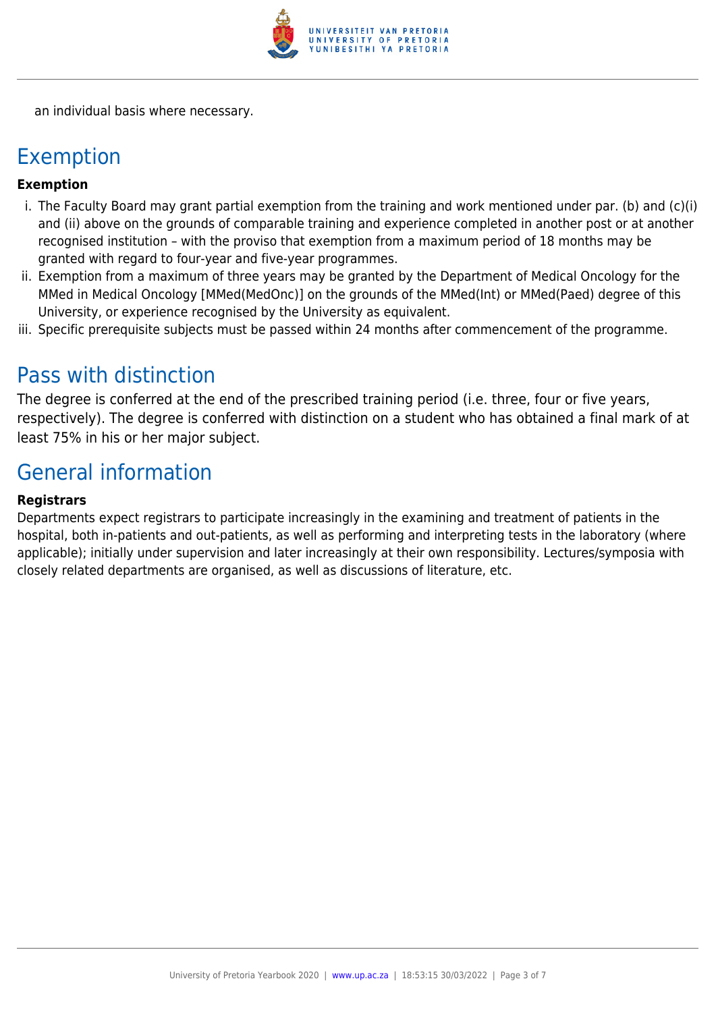

an individual basis where necessary.

### Exemption

#### **Exemption**

- i. The Faculty Board may grant partial exemption from the training and work mentioned under par. (b) and (c)(i) and (ii) above on the grounds of comparable training and experience completed in another post or at another recognised institution – with the proviso that exemption from a maximum period of 18 months may be granted with regard to four-year and five-year programmes.
- ii. Exemption from a maximum of three years may be granted by the Department of Medical Oncology for the MMed in Medical Oncology [MMed(MedOnc)] on the grounds of the MMed(Int) or MMed(Paed) degree of this University, or experience recognised by the University as equivalent.
- iii. Specific prerequisite subjects must be passed within 24 months after commencement of the programme.

## Pass with distinction

The degree is conferred at the end of the prescribed training period (i.e. three, four or five years, respectively). The degree is conferred with distinction on a student who has obtained a final mark of at least 75% in his or her major subject.

## General information

#### **Registrars**

Departments expect registrars to participate increasingly in the examining and treatment of patients in the hospital, both in-patients and out-patients, as well as performing and interpreting tests in the laboratory (where applicable); initially under supervision and later increasingly at their own responsibility. Lectures/symposia with closely related departments are organised, as well as discussions of literature, etc.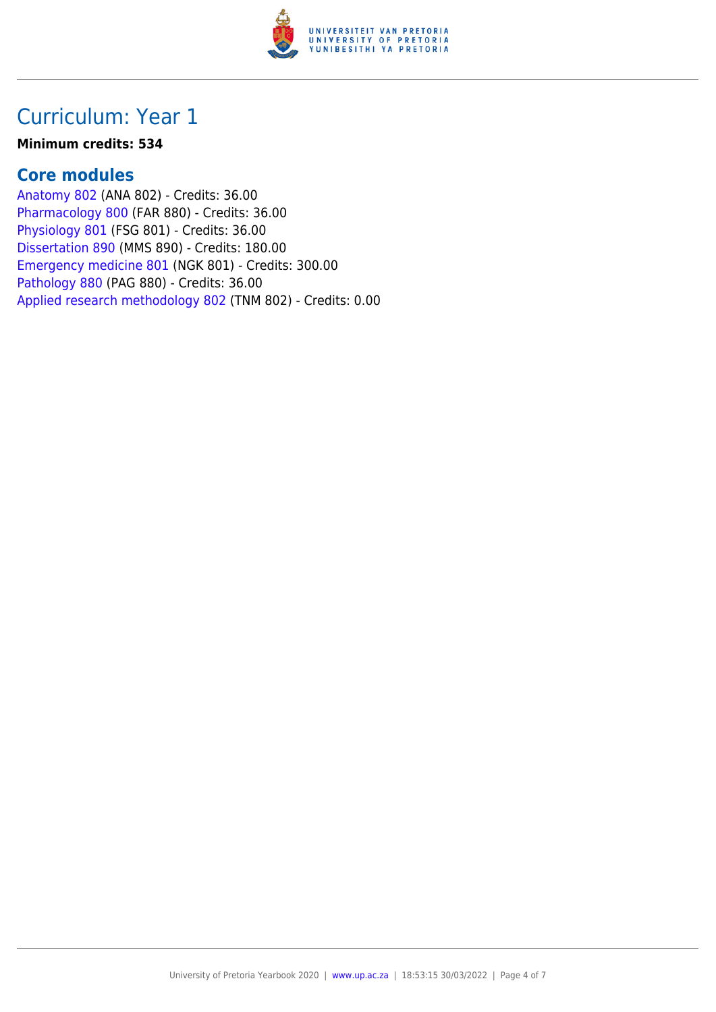

## Curriculum: Year 1

#### **Minimum credits: 534**

### **Core modules**

[Anatomy 802](https://www.up.ac.za/yearbooks/2020/modules/view/ANA 802) (ANA 802) - Credits: 36.00 [Pharmacology 800](https://www.up.ac.za/yearbooks/2020/modules/view/FAR 880) (FAR 880) - Credits: 36.00 [Physiology 801](https://www.up.ac.za/yearbooks/2020/modules/view/FSG 801) (FSG 801) - Credits: 36.00 [Dissertation 890](https://www.up.ac.za/yearbooks/2020/modules/view/MMS 890) (MMS 890) - Credits: 180.00 [Emergency medicine 801](https://www.up.ac.za/yearbooks/2020/modules/view/NGK 801) (NGK 801) - Credits: 300.00 [Pathology 880](https://www.up.ac.za/yearbooks/2020/modules/view/PAG 880) (PAG 880) - Credits: 36.00 [Applied research methodology 802](https://www.up.ac.za/yearbooks/2020/modules/view/TNM 802) (TNM 802) - Credits: 0.00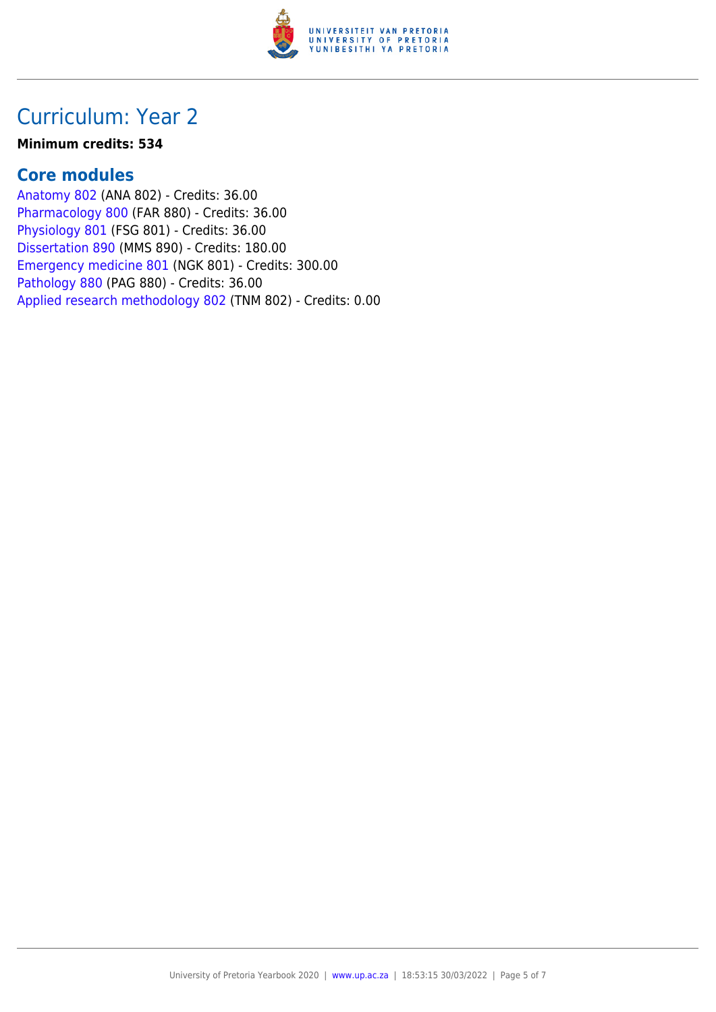

## Curriculum: Year 2

#### **Minimum credits: 534**

### **Core modules**

[Anatomy 802](https://www.up.ac.za/yearbooks/2020/modules/view/ANA 802) (ANA 802) - Credits: 36.00 [Pharmacology 800](https://www.up.ac.za/yearbooks/2020/modules/view/FAR 880) (FAR 880) - Credits: 36.00 [Physiology 801](https://www.up.ac.za/yearbooks/2020/modules/view/FSG 801) (FSG 801) - Credits: 36.00 [Dissertation 890](https://www.up.ac.za/yearbooks/2020/modules/view/MMS 890) (MMS 890) - Credits: 180.00 [Emergency medicine 801](https://www.up.ac.za/yearbooks/2020/modules/view/NGK 801) (NGK 801) - Credits: 300.00 [Pathology 880](https://www.up.ac.za/yearbooks/2020/modules/view/PAG 880) (PAG 880) - Credits: 36.00 [Applied research methodology 802](https://www.up.ac.za/yearbooks/2020/modules/view/TNM 802) (TNM 802) - Credits: 0.00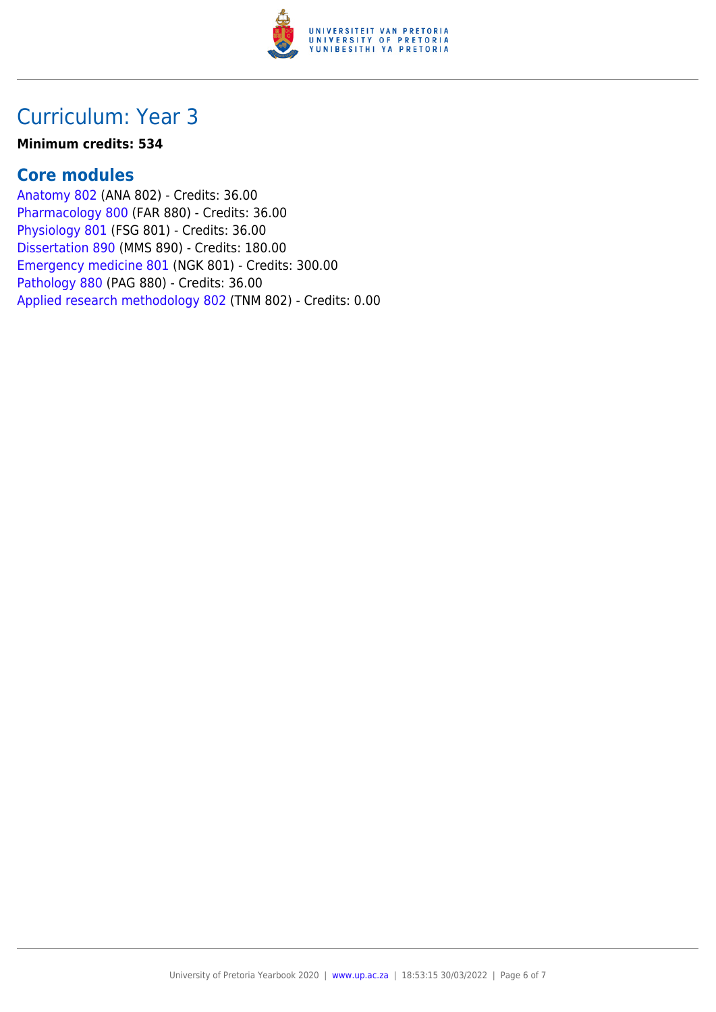

## Curriculum: Year 3

#### **Minimum credits: 534**

### **Core modules**

[Anatomy 802](https://www.up.ac.za/yearbooks/2020/modules/view/ANA 802) (ANA 802) - Credits: 36.00 [Pharmacology 800](https://www.up.ac.za/yearbooks/2020/modules/view/FAR 880) (FAR 880) - Credits: 36.00 [Physiology 801](https://www.up.ac.za/yearbooks/2020/modules/view/FSG 801) (FSG 801) - Credits: 36.00 [Dissertation 890](https://www.up.ac.za/yearbooks/2020/modules/view/MMS 890) (MMS 890) - Credits: 180.00 [Emergency medicine 801](https://www.up.ac.za/yearbooks/2020/modules/view/NGK 801) (NGK 801) - Credits: 300.00 [Pathology 880](https://www.up.ac.za/yearbooks/2020/modules/view/PAG 880) (PAG 880) - Credits: 36.00 [Applied research methodology 802](https://www.up.ac.za/yearbooks/2020/modules/view/TNM 802) (TNM 802) - Credits: 0.00